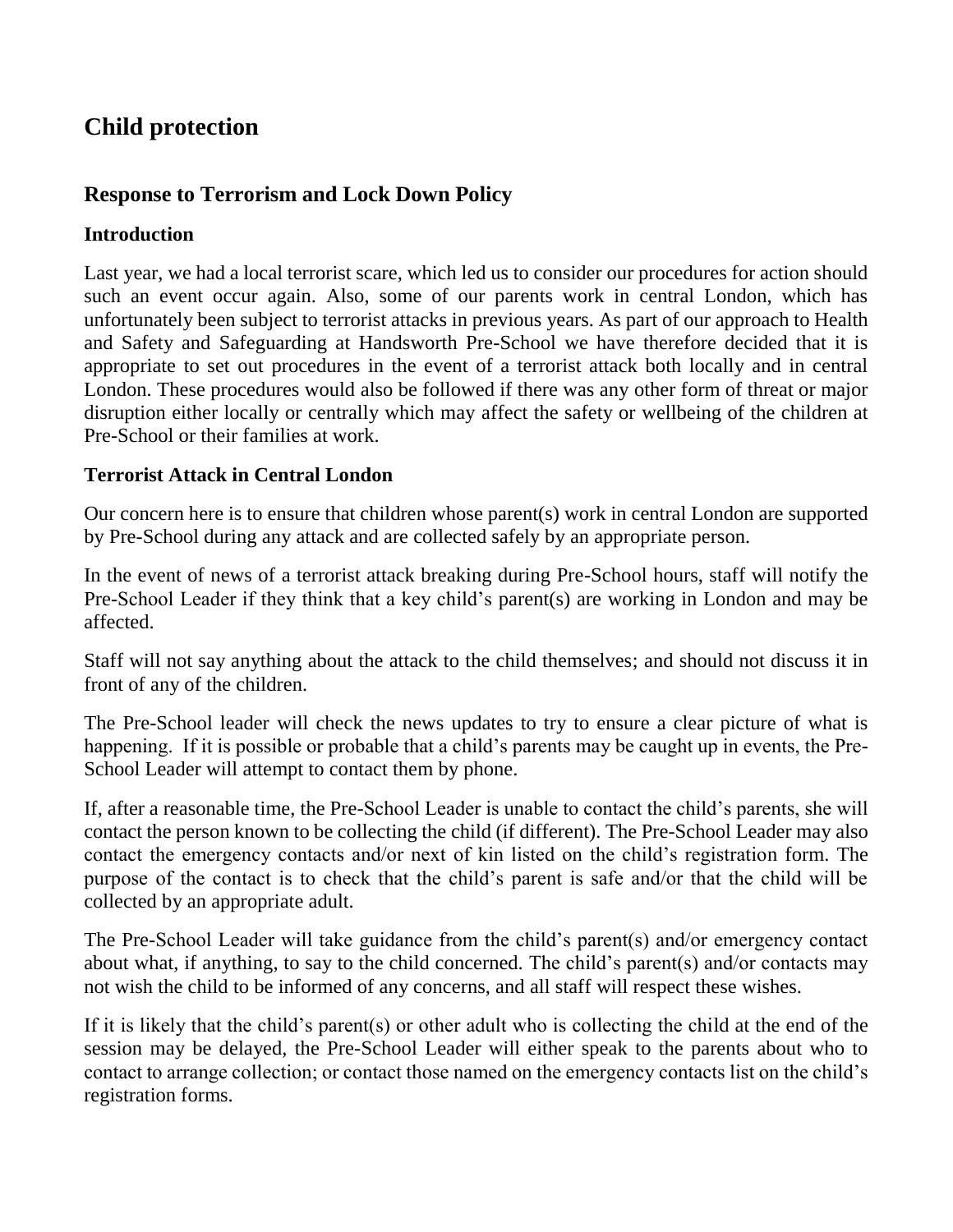# **Child protection**

## **Response to Terrorism and Lock Down Policy**

### **Introduction**

Last year, we had a local terrorist scare, which led us to consider our procedures for action should such an event occur again. Also, some of our parents work in central London, which has unfortunately been subject to terrorist attacks in previous years. As part of our approach to Health and Safety and Safeguarding at Handsworth Pre-School we have therefore decided that it is appropriate to set out procedures in the event of a terrorist attack both locally and in central London. These procedures would also be followed if there was any other form of threat or major disruption either locally or centrally which may affect the safety or wellbeing of the children at Pre-School or their families at work.

### **Terrorist Attack in Central London**

Our concern here is to ensure that children whose parent(s) work in central London are supported by Pre-School during any attack and are collected safely by an appropriate person.

In the event of news of a terrorist attack breaking during Pre-School hours, staff will notify the Pre-School Leader if they think that a key child's parent(s) are working in London and may be affected.

Staff will not say anything about the attack to the child themselves; and should not discuss it in front of any of the children.

The Pre-School leader will check the news updates to try to ensure a clear picture of what is happening. If it is possible or probable that a child's parents may be caught up in events, the Pre-School Leader will attempt to contact them by phone.

If, after a reasonable time, the Pre-School Leader is unable to contact the child's parents, she will contact the person known to be collecting the child (if different). The Pre-School Leader may also contact the emergency contacts and/or next of kin listed on the child's registration form. The purpose of the contact is to check that the child's parent is safe and/or that the child will be collected by an appropriate adult.

The Pre-School Leader will take guidance from the child's parent(s) and/or emergency contact about what, if anything, to say to the child concerned. The child's parent(s) and/or contacts may not wish the child to be informed of any concerns, and all staff will respect these wishes.

If it is likely that the child's parent(s) or other adult who is collecting the child at the end of the session may be delayed, the Pre-School Leader will either speak to the parents about who to contact to arrange collection; or contact those named on the emergency contacts list on the child's registration forms.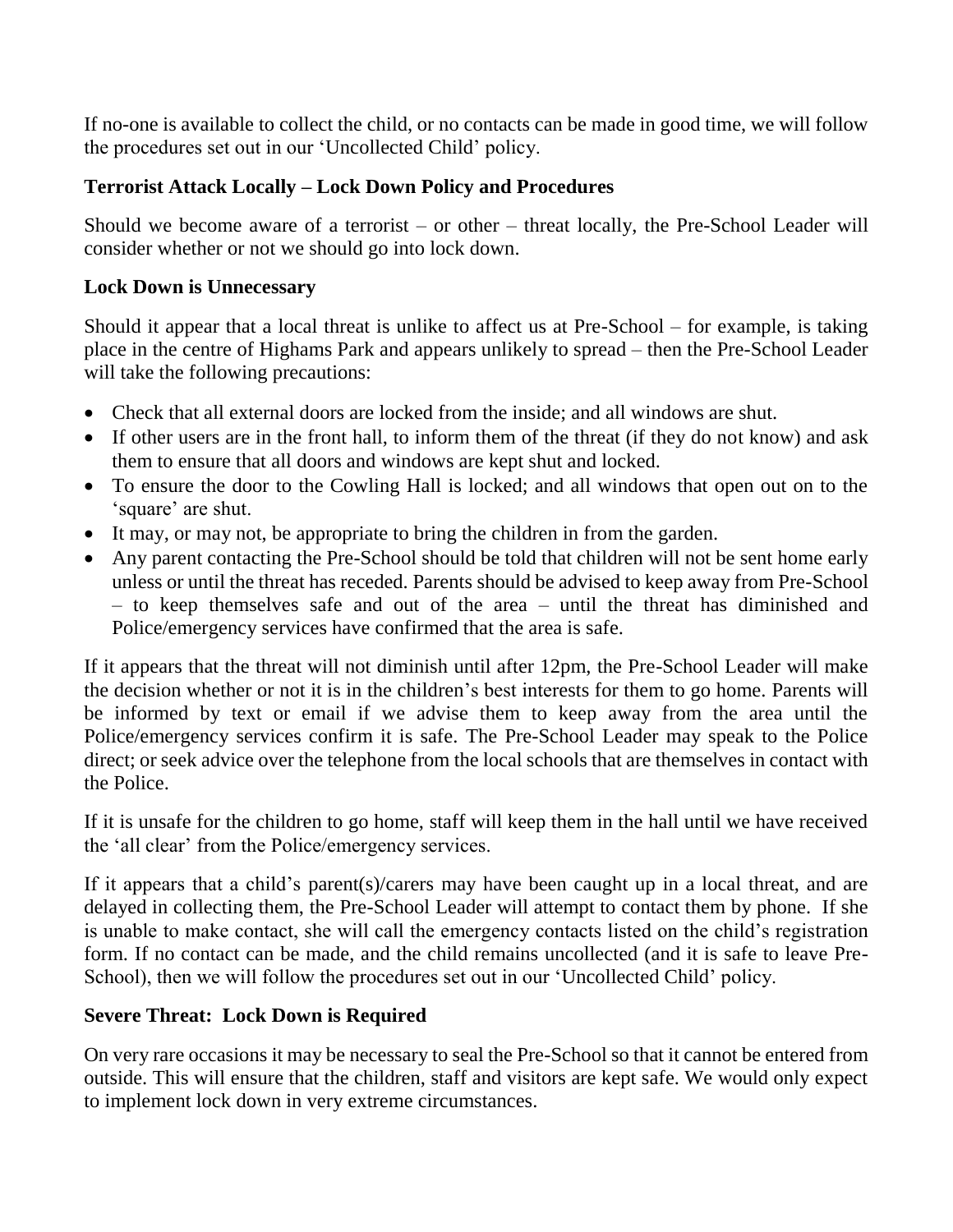If no-one is available to collect the child, or no contacts can be made in good time, we will follow the procedures set out in our 'Uncollected Child' policy.

## **Terrorist Attack Locally – Lock Down Policy and Procedures**

Should we become aware of a terrorist – or other – threat locally, the Pre-School Leader will consider whether or not we should go into lock down.

#### **Lock Down is Unnecessary**

Should it appear that a local threat is unlike to affect us at Pre-School – for example, is taking place in the centre of Highams Park and appears unlikely to spread – then the Pre-School Leader will take the following precautions:

- Check that all external doors are locked from the inside; and all windows are shut.
- If other users are in the front hall, to inform them of the threat (if they do not know) and ask them to ensure that all doors and windows are kept shut and locked.
- To ensure the door to the Cowling Hall is locked; and all windows that open out on to the 'square' are shut.
- It may, or may not, be appropriate to bring the children in from the garden.
- Any parent contacting the Pre-School should be told that children will not be sent home early unless or until the threat has receded. Parents should be advised to keep away from Pre-School – to keep themselves safe and out of the area – until the threat has diminished and Police/emergency services have confirmed that the area is safe.

If it appears that the threat will not diminish until after 12pm, the Pre-School Leader will make the decision whether or not it is in the children's best interests for them to go home. Parents will be informed by text or email if we advise them to keep away from the area until the Police/emergency services confirm it is safe. The Pre-School Leader may speak to the Police direct; or seek advice over the telephone from the local schools that are themselves in contact with the Police.

If it is unsafe for the children to go home, staff will keep them in the hall until we have received the 'all clear' from the Police/emergency services.

If it appears that a child's parent(s)/carers may have been caught up in a local threat, and are delayed in collecting them, the Pre-School Leader will attempt to contact them by phone. If she is unable to make contact, she will call the emergency contacts listed on the child's registration form. If no contact can be made, and the child remains uncollected (and it is safe to leave Pre-School), then we will follow the procedures set out in our 'Uncollected Child' policy.

#### **Severe Threat: Lock Down is Required**

On very rare occasions it may be necessary to seal the Pre-School so that it cannot be entered from outside. This will ensure that the children, staff and visitors are kept safe. We would only expect to implement lock down in very extreme circumstances.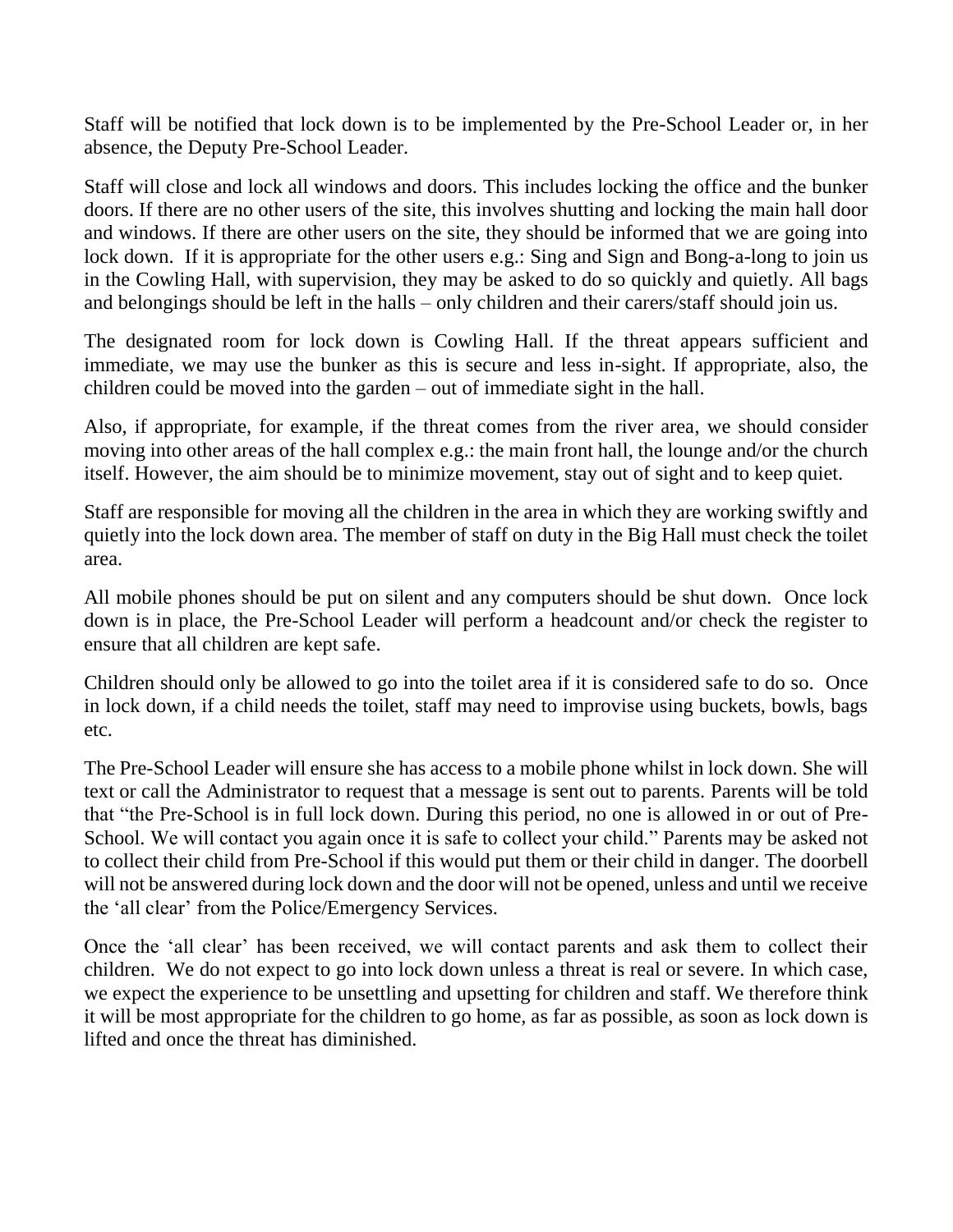Staff will be notified that lock down is to be implemented by the Pre-School Leader or, in her absence, the Deputy Pre-School Leader.

Staff will close and lock all windows and doors. This includes locking the office and the bunker doors. If there are no other users of the site, this involves shutting and locking the main hall door and windows. If there are other users on the site, they should be informed that we are going into lock down. If it is appropriate for the other users e.g.: Sing and Sign and Bong-a-long to join us in the Cowling Hall, with supervision, they may be asked to do so quickly and quietly. All bags and belongings should be left in the halls – only children and their carers/staff should join us.

The designated room for lock down is Cowling Hall. If the threat appears sufficient and immediate, we may use the bunker as this is secure and less in-sight. If appropriate, also, the children could be moved into the garden – out of immediate sight in the hall.

Also, if appropriate, for example, if the threat comes from the river area, we should consider moving into other areas of the hall complex e.g.: the main front hall, the lounge and/or the church itself. However, the aim should be to minimize movement, stay out of sight and to keep quiet.

Staff are responsible for moving all the children in the area in which they are working swiftly and quietly into the lock down area. The member of staff on duty in the Big Hall must check the toilet area.

All mobile phones should be put on silent and any computers should be shut down. Once lock down is in place, the Pre-School Leader will perform a headcount and/or check the register to ensure that all children are kept safe.

Children should only be allowed to go into the toilet area if it is considered safe to do so. Once in lock down, if a child needs the toilet, staff may need to improvise using buckets, bowls, bags etc.

The Pre-School Leader will ensure she has access to a mobile phone whilst in lock down. She will text or call the Administrator to request that a message is sent out to parents. Parents will be told that "the Pre-School is in full lock down. During this period, no one is allowed in or out of Pre-School. We will contact you again once it is safe to collect your child." Parents may be asked not to collect their child from Pre-School if this would put them or their child in danger. The doorbell will not be answered during lock down and the door will not be opened, unless and until we receive the 'all clear' from the Police/Emergency Services.

Once the 'all clear' has been received, we will contact parents and ask them to collect their children. We do not expect to go into lock down unless a threat is real or severe. In which case, we expect the experience to be unsettling and upsetting for children and staff. We therefore think it will be most appropriate for the children to go home, as far as possible, as soon as lock down is lifted and once the threat has diminished.